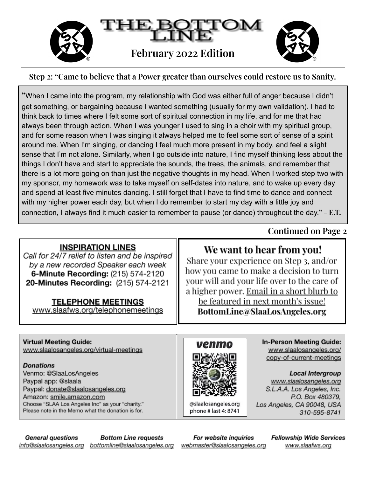

#### Step 2: "Came to believe that a Power greater than ourselves could restore us to Sanity.

"When I came into the program, my relationship with God was either full of anger because I didn't get something, or bargaining because I wanted something (usually for my own validation). I had to think back to times where I felt some sort of spiritual connection in my life, and for me that had always been through action. When I was younger I used to sing in a choir with my spiritual group, and for some reason when I was singing it always helped me to feel some sort of sense of a spirit around me. When I'm singing, or dancing I feel much more present in my body, and feel a slight sense that I'm not alone. Similarly, when I go outside into nature, I find myself thinking less about the things I don't have and start to appreciate the sounds, the trees, the animals, and remember that there is a lot more going on than just the negative thoughts in my head. When I worked step two with my sponsor, my homework was to take myself on self-dates into nature, and to wake up every day and spend at least five minutes dancing. I still forget that I have to find time to dance and connect with my higher power each day, but when I do remember to start my day with a little joy and connection, I always find it much easier to remember to pause (or dance) throughout the day."  $- E.T.$ 

#### **INSPIRATION LINES**

Call for 24/7 relief to listen and be inspired by a new recorded Speaker each week **6-Minute Recording: (215) 574-2120** 20-Minutes Recording: (215) 574-2121

#### **TELEPHONE MEETINGS**

www.slaafws.org/telephonemeetings

### **Continued on Page 2**

# We want to hear from you!

Share your experience on Step 3, and/or how you came to make a decision to turn your will and your life over to the care of a higher power. Email in a short blurb to be featured in next month's issue! BottomLine@SlaaLosAngeles.org

### **Virtual Meeting Guide:**

www.slaalosangeles.org/virtual-meetings

#### **Donations**

Venmo: @SlaaLosAngeles Paypal app: @slaala Paypal: donate@slaalosangeles.org Amazon: smile.amazon.com Choose "SLAA Los Angeles Inc" as your "charity." Please note in the Memo what the donation is for.



@slaalosangeles.org phone # last 4: 8741

**In-Person Meeting Guide:** www.slaalosangeles.org/ copy-of-current-meetings

**Local Intergroup** www.slaalosangeles.org S.L.A.A. Los Angeles, Inc. P.O. Box 480379, Los Angeles, CA 90048, USA 310-595-8741

**Bottom Line requests General questions** info@slaalosangeles.org bottomline@slaalosangeles.org

For website inquiries webmaster@slaalosangeles.org **Fellowship Wide Services** www.slaafws.org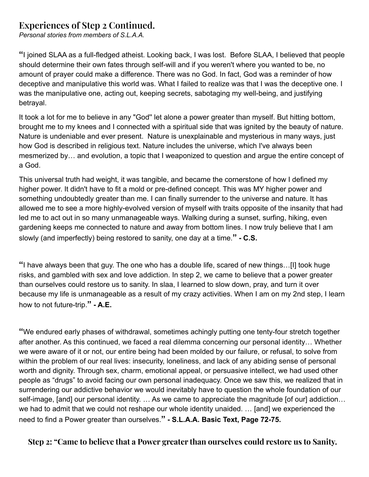### **Experiences of Step 2 Continued.**

*Personal stories from members of S.L.A.A.*

**"**I joined SLAA as a full-fledged atheist. Looking back, I was lost. Before SLAA, I believed that people should determine their own fates through self-will and if you weren't where you wanted to be, no amount of prayer could make a difference. There was no God. In fact, God was a reminder of how deceptive and manipulative this world was. What I failed to realize was that I was the deceptive one. I was the manipulative one, acting out, keeping secrets, sabotaging my well-being, and justifying betrayal.

It took a lot for me to believe in any "God'' let alone a power greater than myself. But hitting bottom, brought me to my knees and I connected with a spiritual side that was ignited by the beauty of nature. Nature is undeniable and ever present. Nature is unexplainable and mysterious in many ways, just how God is described in religious text. Nature includes the universe, which I've always been mesmerized by… and evolution, a topic that I weaponized to question and argue the entire concept of a God.

This universal truth had weight, it was tangible, and became the cornerstone of how I defined my higher power. It didn't have to fit a mold or pre-defined concept. This was MY higher power and something undoubtedly greater than me. I can finally surrender to the universe and nature. It has allowed me to see a more highly-evolved version of myself with traits opposite of the insanity that had led me to act out in so many unmanageable ways. Walking during a sunset, surfing, hiking, even gardening keeps me connected to nature and away from bottom lines. I now truly believe that I am slowly (and imperfectly) being restored to sanity, one day at a time.**" - C.S.**

**"**I have always been that guy. The one who has a double life, scared of new things…[I] took huge risks, and gambled with sex and love addiction. In step 2, we came to believe that a power greater than ourselves could restore us to sanity. In slaa, I learned to slow down, pray, and turn it over because my life is unmanageable as a result of my crazy activities. When I am on my 2nd step, I learn how to not future-trip.**" - A.E.**

**"**We endured early phases of withdrawal, sometimes achingly putting one tenty-four stretch together after another. As this continued, we faced a real dilemma concerning our personal identity… Whether we were aware of it or not, our entire being had been molded by our failure, or refusal, to solve from within the problem of our real lives: insecurity, loneliness, and lack of any abiding sense of personal worth and dignity. Through sex, charm, emotional appeal, or persuasive intellect, we had used other people as "drugs" to avoid facing our own personal inadequacy. Once we saw this, we realized that in surrendering our addictive behavior we would inevitably have to question the whole foundation of our self-image, [and] our personal identity. ... As we came to appreciate the magnitude [of our] addiction... we had to admit that we could not reshape our whole identity unaided. … [and] we experienced the need to find a Power greater than ourselves.**" - S.L.A.A. Basic Text, Page 72-75.**

**Step 2: "Came to believe that a Power greater than ourselves could restore us to Sanity.**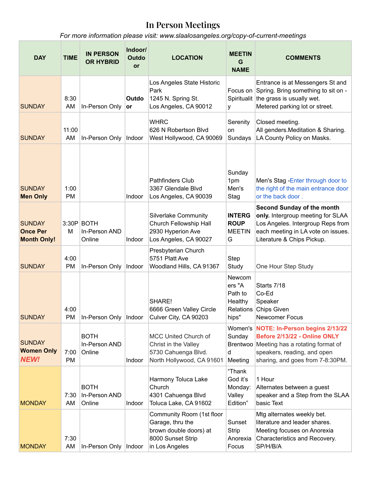### **In Person Meetings**

*For more information please visit: www.slaalosangeles.org/copy-of-current-meetings*

| <b>DAY</b>                                             | <b>TIME</b>       | <b>IN PERSON</b><br><b>OR HYBRID</b>   | Indoor/<br>Outdo<br>or | <b>LOCATION</b>                                                                                                | <b>MEETIN</b><br>G<br><b>NAME</b>                            | <b>COMMENTS</b>                                                                                                                                                                 |
|--------------------------------------------------------|-------------------|----------------------------------------|------------------------|----------------------------------------------------------------------------------------------------------------|--------------------------------------------------------------|---------------------------------------------------------------------------------------------------------------------------------------------------------------------------------|
| <b>SUNDAY</b>                                          | 8:30<br>AM        | In-Person Only                         | Outdo<br><b>or</b>     | Los Angeles State Historic<br>Park<br>1245 N. Spring St.<br>Los Angeles, CA 90012                              | У                                                            | Entrance is at Messengers St and<br>Focus on Spring. Bring something to sit on -<br>Spiritualit the grass is usually wet.<br>Metered parking lot or street.                     |
| <b>SUNDAY</b>                                          | 11:00<br>AM       | In-Person Only                         | Indoor                 | <b>WHRC</b><br>626 N Robertson Blvd<br>West Hollywood, CA 90069                                                | Serenity<br>on<br>Sundays                                    | Closed meeting.<br>All genders. Meditation & Sharing.<br>LA County Policy on Masks.                                                                                             |
| <b>SUNDAY</b><br><b>Men Only</b>                       | 1:00<br><b>PM</b> |                                        | Indoor                 | <b>Pathfinders Club</b><br>3367 Glendale Blvd<br>Los Angeles, CA 90039                                         | Sunday<br>1pm<br>Men's<br>Stag                               | Men's Stag - Enter through door to<br>the right of the main entrance door<br>or the back door.                                                                                  |
| <b>SUNDAY</b><br><b>Once Per</b><br><b>Month Only!</b> | M                 | 3:30P BOTH<br>In-Person AND<br>Online  | Indoor                 | <b>Silverlake Community</b><br>Church Fellowship Hall<br>2930 Hyperion Ave<br>Los Angeles, CA 90027            | <b>INTERG</b><br><b>ROUP</b><br><b>MEETIN</b><br>G           | <b>Second Sunday of the month</b><br>only. Intergroup meeting for SLAA<br>Los Angeles. Intergroup Reps from<br>each meeting in LA vote on issues.<br>Literature & Chips Pickup. |
| <b>SUNDAY</b>                                          | 4:00<br><b>PM</b> | In-Person Only                         | Indoor                 | Presbyterian Church<br>5751 Platt Ave<br>Woodland Hills, CA 91367                                              | Step<br>Study                                                | One Hour Step Study                                                                                                                                                             |
| <b>SUNDAY</b>                                          | 4:00<br><b>PM</b> | In-Person Only   Indoor                |                        | SHARE!<br>6666 Green Valley Circle<br>Culver City, CA 90203                                                    | Newcom<br>ers "A<br>Path to<br>Healthy<br>Relations<br>hips" | Starts 7/18<br>Co-Ed<br>Speaker<br><b>Chips Given</b><br><b>Newcomer Focus</b>                                                                                                  |
| <b>SUNDAY</b><br><b>Women Only</b><br><b>NEW!</b>      | 7:00<br><b>PM</b> | <b>BOTH</b><br>In-Person AND<br>Online | Indoor                 | <b>MCC United Church of</b><br>Christ in the Valley<br>5730 Cahuenga Blvd.<br>North Hollywood, CA 91601        | Women's<br>Sunday<br>d<br>Meeting                            | NOTE: In-Person begins 2/13/22<br>Before 2/13/22 - Online ONLY<br>Brentwoo Meeting has a rotating format of<br>speakers, reading, and open<br>sharing, and goes from 7-8:30PM.  |
| <b>MONDAY</b>                                          | 7:30<br>AM        | <b>BOTH</b><br>In-Person AND<br>Online | Indoor                 | Harmony Toluca Lake<br>Church<br>4301 Cahuenga Blvd<br>Toluca Lake, CA 91602                                   | "Thank<br>God it's<br>Monday:<br>Valley<br>Edition"          | 1 Hour<br>Alternates between a guest<br>speaker and a Step from the SLAA<br>basic Text                                                                                          |
| <b>MONDAY</b>                                          | 7:30<br>AM        | In-Person Only                         | Indoor                 | Community Room (1st floor<br>Garage, thru the<br>brown double doors) at<br>8000 Sunset Strip<br>in Los Angeles | Sunset<br><b>Strip</b><br>Anorexia<br>Focus                  | Mtg alternates weekly bet.<br>literature and leader shares.<br>Meeting focuses on Anorexia<br>Characteristics and Recovery.<br>SP/H/B/A                                         |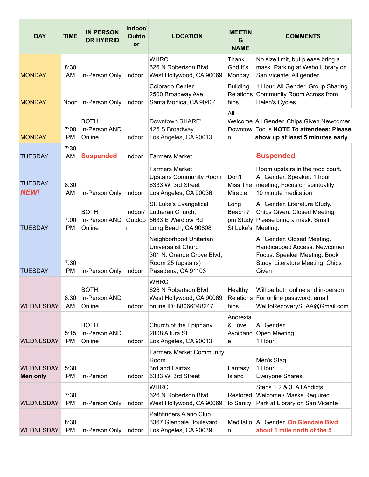| <b>DAY</b>                    | <b>TIME</b>       | <b>IN PERSON</b><br><b>OR HYBRID</b>   | Indoor/<br>Outdo<br><b>or</b> | <b>LOCATION</b>                                                                                                               | <b>MEETIN</b><br>G<br><b>NAME</b>                   | <b>COMMENTS</b>                                                                                                                          |
|-------------------------------|-------------------|----------------------------------------|-------------------------------|-------------------------------------------------------------------------------------------------------------------------------|-----------------------------------------------------|------------------------------------------------------------------------------------------------------------------------------------------|
| <b>MONDAY</b>                 | 8:30<br>AM        | In-Person Only                         | Indoor                        | <b>WHRC</b><br>626 N Robertson Blvd<br>West Hollywood, CA 90069                                                               | Thank<br>God It's<br>Monday                         | No size limit, but please bring a<br>mask. Parking at Weho Library on<br>San Vicente. All gender                                         |
| <b>MONDAY</b>                 |                   | Noon   In-Person Only                  | Indoor                        | Colorado Center<br>2500 Broadway Ave<br>Santa Monica, CA 90404                                                                | <b>Building</b><br>hips                             | 1 Hour. All Gender. Group Sharing<br>Relations Community Room Across from<br>Helen's Cycles                                              |
| <b>MONDAY</b>                 | 7:00<br><b>PM</b> | <b>BOTH</b><br>In-Person AND<br>Online | Indoor                        | Downtown SHARE!<br>425 S Broadway<br>Los Angeles, CA 90013                                                                    | All<br>n                                            | Welcome All Gender. Chips Given.Newcomer<br>Downtow Focus NOTE To attendees: Please<br>show up at least 5 minutes early                  |
| <b>TUESDAY</b>                | 7:30<br>AM        | <b>Suspended</b>                       | Indoor                        | <b>Farmers Market</b>                                                                                                         |                                                     | <b>Suspended</b>                                                                                                                         |
| <b>TUESDAY</b><br><b>NEW!</b> | 8:30<br>AM        | In-Person Only                         | Indoor                        | <b>Farmers Market</b><br><b>Upstairs Community Room</b><br>6333 W. 3rd Street<br>Los Angeles, CA 90036                        | Don't<br>Miss The<br>Miracle                        | Room upstairs in the food court.<br>All Gender. Speaker. 1 hour<br>meeting; Focus on spirituality<br>10 minute meditation                |
| <b>TUESDAY</b>                | 7:00<br><b>PM</b> | <b>BOTH</b><br>In-Person AND<br>Online | Indoor/<br>Outdoo<br>r        | St. Luke's Evangelical<br>Lutheran Church,<br>5633 E Wardlow Rd<br>Long Beach, CA 90808                                       | Long<br>Beach 7<br>pm Study<br>St Luke's   Meeting. | All Gender. Literature Study.<br>Chips Given. Closed Meeting.<br>Please bring a mask. Small                                              |
| <b>TUESDAY</b>                | 7:30<br>PM        | In-Person Only                         | Indoor                        | Neighborhood Unitarian<br><b>Universalist Church</b><br>301 N. Orange Grove Blvd,<br>Room 25 (upstairs)<br>Pasadena, CA 91103 |                                                     | All Gender. Closed Meeting.<br>Handicapped Access. Newcomer<br>Focus. Speaker Meeting. Book<br>Study. Literature Meeting. Chips<br>Given |
| <b>WEDNESDAY</b>              | 8:30<br>AM        | <b>BOTH</b><br>In-Person AND<br>Online | Indoor                        | <b>WHRC</b><br>626 N Robertson Blvd<br>West Hollywood, CA 90069<br>online ID: 88066048247                                     | Healthy<br>Relations<br>hips                        | Will be both online and in-person<br>For online password, email:<br>WeHoRecoverySLAA@Gmail.com                                           |
| <b>WEDNESDAY</b>              | 5:15<br><b>PM</b> | <b>BOTH</b><br>In-Person AND<br>Online | Indoor                        | Church of the Epiphany<br>2808 Altura St<br>Los Angeles, CA 90013                                                             | Anorexia<br>& Love<br>Avoidanc<br>e                 | All Gender<br>Open Meeting<br>1 Hour                                                                                                     |
| <b>WEDNESDAY</b><br>Men only  | 5:30<br><b>PM</b> | In-Person                              | Indoor                        | <b>Farmers Market Community</b><br>Room<br>3rd and Fairfax<br>6333 W. 3rd Street                                              | Fantasy<br>Island                                   | Men's Stag<br>1 Hour<br><b>Everyone Shares</b>                                                                                           |
| <b>WEDNESDAY</b>              | 7:30<br><b>PM</b> | In-Person Only                         | Indoor                        | <b>WHRC</b><br>626 N Robertson Blvd<br>West Hollywood, CA 90069                                                               | Restored<br>to Sanity                               | Steps 1 2 & 3. All Addicts<br>Welcome / Masks Required<br>Park at Library on San Vicente                                                 |
| <b>WEDNESDAY</b>              | 8:30<br>PM        | In-Person Only                         | Indoor                        | Pathfinders Alano Club<br>3367 Glendale Boulevard<br>Los Angeles, CA 90039                                                    | Meditatio<br>n                                      | All Gender. On Glendale Blvd<br>about 1 mile north of the 5                                                                              |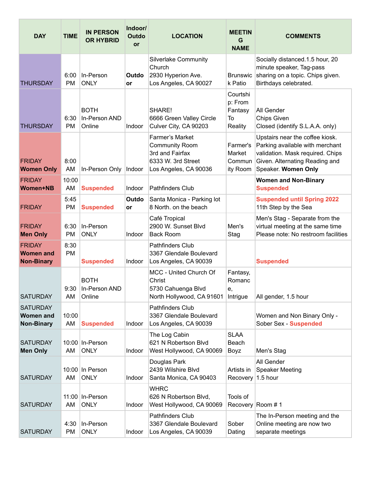| <b>DAY</b>                                               | <b>TIME</b>       | <b>IN PERSON</b><br><b>OR HYBRID</b>        | Indoor/<br><b>Outdo</b><br>or | <b>LOCATION</b>                                                                                                   | <b>MEETIN</b><br>G<br><b>NAME</b>               | <b>COMMENTS</b>                                                                                                                                                 |
|----------------------------------------------------------|-------------------|---------------------------------------------|-------------------------------|-------------------------------------------------------------------------------------------------------------------|-------------------------------------------------|-----------------------------------------------------------------------------------------------------------------------------------------------------------------|
| <b>THURSDAY</b>                                          | 6:00<br><b>PM</b> | In-Person<br><b>ONLY</b>                    | Outdo<br>or                   | <b>Silverlake Community</b><br>Church<br>2930 Hyperion Ave.<br>Los Angeles, CA 90027                              | <b>Brunswic</b><br>k Patio                      | Socially distanced.1.5 hour, 20<br>minute speaker, Tag-pass<br>sharing on a topic. Chips given.<br>Birthdays celebrated.                                        |
| <b>THURSDAY</b>                                          | 6:30<br><b>PM</b> | <b>BOTH</b><br>In-Person AND<br>Online      | Indoor                        | SHARE!<br>6666 Green Valley Circle<br>Culver City, CA 90203                                                       | Courtshi<br>p: From<br>Fantasy<br>To<br>Reality | All Gender<br><b>Chips Given</b><br>Closed (identify S.L.A.A. only)                                                                                             |
| <b>FRIDAY</b><br><b>Women Only</b>                       | 8:00<br>AM        | In-Person Only                              | Indoor                        | <b>Farmer's Market</b><br><b>Community Room</b><br>3rd and Fairfax<br>6333 W. 3rd Street<br>Los Angeles, CA 90036 | Farmer's<br>Market<br>Commun<br>ity Room        | Upstairs near the coffee kiosk.<br>Parking available with merchant<br>validation. Mask required. Chips<br>Given. Alternating Reading and<br>Speaker. Women Only |
| <b>FRIDAY</b><br><b>Women+NB</b>                         | 10:00<br>AM       | <b>Suspended</b>                            | Indoor                        | <b>Pathfinders Club</b>                                                                                           |                                                 | <b>Women and Non-Binary</b><br><b>Suspended</b>                                                                                                                 |
| <b>FRIDAY</b>                                            | 5:45<br><b>PM</b> | <b>Suspended</b>                            | Outdo<br><b>or</b>            | Santa Monica - Parking lot<br>8 North. on the beach                                                               |                                                 | <b>Suspended until Spring 2022</b><br>11th Step by the Sea                                                                                                      |
| <b>FRIDAY</b><br><b>Men Only</b>                         | 6:30<br><b>PM</b> | In-Person<br><b>ONLY</b>                    | Indoor                        | Café Tropical<br>2900 W. Sunset Blvd<br><b>Back Room</b>                                                          | Men's<br>Stag                                   | Men's Stag - Separate from the<br>virtual meeting at the same time<br>Please note: No restroom facilities                                                       |
| <b>FRIDAY</b><br><b>Women and</b><br><b>Non-Binary</b>   | 8:30<br><b>PM</b> | <b>Suspended</b>                            | Indoor                        | <b>Pathfinders Club</b><br>3367 Glendale Boulevard<br>Los Angeles, CA 90039                                       |                                                 | <b>Suspended</b>                                                                                                                                                |
| <b>SATURDAY</b>                                          | AM                | <b>BOTH</b><br>9:30 In-Person AND<br>Online |                               | MCC - United Church Of<br>Christ<br>5730 Cahuenga Blvd<br>North Hollywood, CA 91601                               | Fantasy,<br>Romanc<br>е,<br>Intrigue            | All gender, 1.5 hour                                                                                                                                            |
| <b>SATURDAY</b><br><b>Women and</b><br><b>Non-Binary</b> | 10:00<br>AM       | <b>Suspended</b>                            | Indoor                        | <b>Pathfinders Club</b><br>3367 Glendale Boulevard<br>Los Angeles, CA 90039                                       |                                                 | Women and Non Binary Only -<br>Sober Sex - Suspended                                                                                                            |
| <b>SATURDAY</b><br><b>Men Only</b>                       | AM                | 10:00 In-Person<br><b>ONLY</b>              | Indoor                        | The Log Cabin<br>621 N Robertson Blvd<br>West Hollywood, CA 90069                                                 | <b>SLAA</b><br>Beach<br>Boyz                    | Men's Stag                                                                                                                                                      |
| <b>SATURDAY</b>                                          | AM                | 10:00 In Person<br><b>ONLY</b>              | Indoor                        | Douglas Park<br>2439 Wilshire Blvd<br>Santa Monica, CA 90403                                                      | Artists in<br>Recovery                          | All Gender<br><b>Speaker Meeting</b><br>1.5 hour                                                                                                                |
| <b>SATURDAY</b>                                          | AM                | 11:00 In-Person<br><b>ONLY</b>              | Indoor                        | <b>WHRC</b><br>626 N Robertson Blvd,<br>West Hollywood, CA 90069                                                  | Tools of<br>Recovery Room #1                    |                                                                                                                                                                 |
| <b>SATURDAY</b>                                          | 4:30<br><b>PM</b> | In-Person<br><b>ONLY</b>                    | Indoor                        | Pathfinders Club<br>3367 Glendale Boulevard<br>Los Angeles, CA 90039                                              | Sober<br>Dating                                 | The In-Person meeting and the<br>Online meeting are now two<br>separate meetings                                                                                |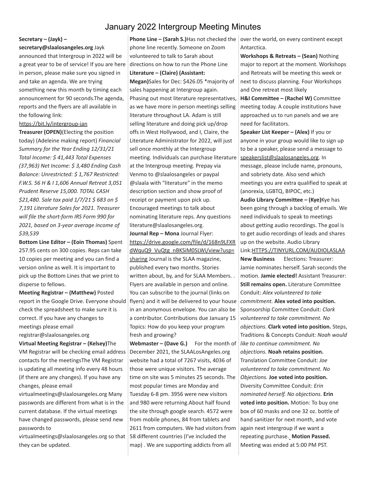#### January 2022 Intergroup Meeting Minutes

#### **Secretary – (Jayk) –**

#### **secretary@slaalosangeles.org** Jayk

announced that Intergroup in 2022 will be a great year to be of service! If you are here in person, please make sure you signed in and take an agenda. We are trying something new this month by timing each announcement for 90 seconds.The agenda, reports and the flyers are all available in the following link:

<https://bit.ly/intergroup-jan>

**Treasurer (OPEN)**(Electing the position today) (Adeleine making report) *Financial Summary for the Year Ending 12/31/21 Total Income: \$ 41,443 Total Expenses (37,963) Net Income: \$ 3,480 Ending Cash Balance: Unrestricted: \$ 1,767 Restricted: F.W.S. 56 H & I 1,606 Annual Retreat 3,051 Prudent Reserve 15,000. TOTAL CASH \$21,480. Sale tax paid 1/7/21 \$ 683 on \$ 7,191 Literature Sales for 2021. Treasurer will file the short-form IRS Form 990 for 2021, based on 3-year average income of \$39,539*

**Bottom Line Editor – (Eoin Thomas)** Spent 257.95 cents on 300 copies. Reps can take 10 copies per meeting and you can find a version online as well. It is important to pick up the Bottom Lines that we print to disperse to fellows.

**Meeting Registrar – (Matthew)** Posted report in the Google Drive. Everyone should check the spreadsheet to make sure it is correct. If you have any changes to meetings please email registrar@slaalosangeles.org

**Virtual Meeting Registrar – (Kelsey)**The VM Registrar will be checking email address contacts for the meetingsThe VM Registrar is updating all meeting info every 48 hours (if there are any changes). If you have any changes, please email

virtualmeetings@slaalosangeles.org Many passwords are different from what is in the current database. If the virtual meetings have changed passwords, please send new passwords to

virtualmeetings@slaalosangeles.org so that they can be updated.

**Phone Line – (Sarah S.)**Has not checked the phone line recently. Someone on Zoom volunteered to talk to Sarah about directions on how to run the Phone Line **Literature – (Claire) (Assistant:**

**Megan)**Sales for Dec: \$426.05 \*majority of sales happening at Intergroup again. Phasing out most literature representatives, as we have more in person meetings selling literature throughout LA. Adam is still selling literature and doing pick up/drop offs in West Hollywood, and I, Claire, the Literature Administrator for 2022, will just sell once monthly at the Intergroup meeting. Individuals can purchase literature at the Intergroup meeting. Prepay via Venmo to @slaalosangeles or paypal @slaala with "literature" in the memo description section and show proof of receipt or payment upon pick up. Encouraged meetings to talk about nominating literature reps. Any questions literature@slaalosangeles.org.

**Journal Rep – Mona** Journal Flyer: [https://drive.google.com/file/d/168n9LFXR](https://drive.google.com/file/d/168n9LFXRdWquQ9_VuQtg_nBKSiM0SLWi/view?usp=sharing) [dWquQ9\\_VuQtg\\_nBKSiM0SLWi/view?usp=](https://drive.google.com/file/d/168n9LFXRdWquQ9_VuQtg_nBKSiM0SLWi/view?usp=sharing) [sharing](https://drive.google.com/file/d/168n9LFXRdWquQ9_VuQtg_nBKSiM0SLWi/view?usp=sharing) Journal is the SLAA magazine, published every two months. Stories written about, by, and for SLAA Members. . Flyers are available in person and online. You can subscribe to the journal (links on flyers) and it will be delivered to your house in an anonymous envelope. You can also be a contributor. Contributions due January 15 Topics: How do you keep your program fresh and growing?

**Webmaster – (Dave G.)** For the month of December 2021, the SLAALosAngeles.org website had a total of 7267 visits, 4036 of those were unique visitors. The average time on site was 5 minutes 25 seconds. The most popular times are Monday and Tuesday 6-8 pm. 3956 were new visitors and 980 were returning.About half found the site through google search. 4572 were from mobile phones, 84 from tablets and 2611 from computers. We had visitors from 58 different countries (I've included the map) . We are supporting addicts from all

over the world, on every continent except Antarctica.

**Workshops & Retreats – (Sean)** Nothing major to report at the moment. Workshops and Retreats will be meeting this week or next to discuss planning. Four Workshops and One retreat most likely

**H&I Committee – (Rachel W)** Committee meeting today. A couple institutions have approached us to run panels and we are need for facilitators.

**Speaker List Keeper – (Alex)** If you or anyone in your group would like to sign up to be a speaker, please send a message to [speakerslist@slaalosangeles.org.](mailto:speakerslist@slaalosangeles.org) In message, please include name, pronouns, and sobriety date. Also send which meetings you are extra qualified to speak at (anorexia, LGBTQ, BIPOC, etc.)

**Audio Library Committee – (Kye)**Kye has been going through a backlog of emails. We need individuals to speak to meetings about getting audio recordings. The goal is to get audio recordings of leads and shares up on the website. Audio Library Link:[HTTPS://TINYURL.COM/AUDIOLASLAA](https://tinyurl.com/AUDIOLASLAA) **New Business** Elections: Treasurer: Jamie nominates herself. Sarah seconds the motion. **Jamie elected!** Assistant Treasurer: **Still remains open.** Literature Committee Conduit: *Alex volunteered to take commitment.* **Alex voted into position.** Sponsorship Committee Conduit: *Clark volunteered to take commitment. No objections.* **Clark voted into position.** Steps, Traditions & Concepts Conduit: *Noah would like to continue commitment. No objections.* **Noah retains position.** Translation Committee Conduit: *Joe volunteered to take commitment. No Objections.* **Joe voted into position.** Diversity Committee Conduit: *Erin nominated herself. No objections.* **Erin voted into position.** Motion: To buy one box of 60 masks and one 32 oz. bottle of hand sanitizer for next month, and vote again next intergroup if we want a repeating purchase. **Motion Passed.** Meeting was ended at 5:00 PM PST.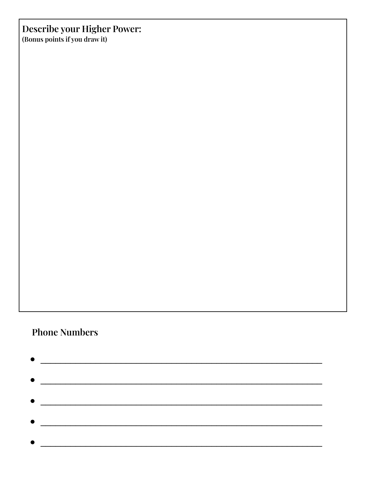# **Describe your Higher Power:**

(Bonus points if you draw it)

# **Phone Numbers**